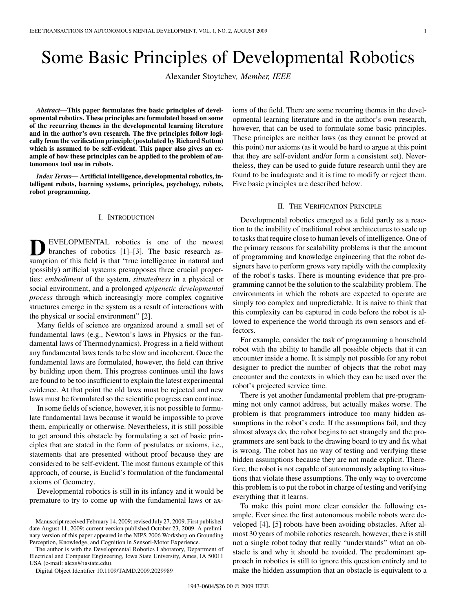# Some Basic Principles of Developmental Robotics

Alexander Stoytchev*, Member, IEEE*

*Abstract—***This paper formulates five basic principles of developmental robotics. These principles are formulated based on some of the recurring themes in the developmental learning literature and in the author's own research. The five principles follow logically from the verification principle (postulated by Richard Sutton) which is assumed to be self-evident. This paper also gives an example of how these principles can be applied to the problem of autonomous tool use in robots.**

*Index Terms—* **Artificial intelligence, developmental robotics, intelligent robots, learning systems, principles, psychology, robots, robot programming.**

### I. INTRODUCTION

**D**EVELOPMENTAL robotics is one of the newest<br>branches of robotics [\[1\]–\[3\].](#page-7-0) The basic research assumption of this field is that "true intelligence in natural and (possibly) artificial systems presupposes three crucial properties: *embodiment* of the system, *situatedness* in a physical or social environment, and a prolonged *epigenetic developmental process* through which increasingly more complex cognitive structures emerge in the system as a result of interactions with the physical or social environment" [\[2\].](#page-7-0)

Many fields of science are organized around a small set of fundamental laws (e.g., Newton's laws in Physics or the fundamental laws of Thermodynamics). Progress in a field without any fundamental laws tends to be slow and incoherent. Once the fundamental laws are formulated, however, the field can thrive by building upon them. This progress continues until the laws are found to be too insufficient to explain the latest experimental evidence. At that point the old laws must be rejected and new laws must be formulated so the scientific progress can continue.

In some fields of science, however, it is not possible to formulate fundamental laws because it would be impossible to prove them, empirically or otherwise. Nevertheless, it is still possible to get around this obstacle by formulating a set of basic principles that are stated in the form of postulates or axioms, i.e., statements that are presented without proof because they are considered to be self-evident. The most famous example of this approach, of course, is Euclid's formulation of the fundamental axioms of Geometry.

Developmental robotics is still in its infancy and it would be premature to try to come up with the fundamental laws or ax-

The author is with the Developmental Robotics Laboratory, Department of Electrical and Computer Engineering, Iowa State University, Ames, IA 50011 USA (e-mail: alexs@iastate.edu).

Digital Object Identifier 10.1109/TAMD.2009.2029989

ioms of the field. There are some recurring themes in the developmental learning literature and in the author's own research, however, that can be used to formulate some basic principles. These principles are neither laws (as they cannot be proved at this point) nor axioms (as it would be hard to argue at this point that they are self-evident and/or form a consistent set). Nevertheless, they can be used to guide future research until they are found to be inadequate and it is time to modify or reject them. Five basic principles are described below.

## II. THE VERIFICATION PRINCIPLE

Developmental robotics emerged as a field partly as a reaction to the inability of traditional robot architectures to scale up to tasks that require close to human levels of intelligence. One of the primary reasons for scalability problems is that the amount of programming and knowledge engineering that the robot designers have to perform grows very rapidly with the complexity of the robot's tasks. There is mounting evidence that pre-programming cannot be the solution to the scalability problem. The environments in which the robots are expected to operate are simply too complex and unpredictable. It is naive to think that this complexity can be captured in code before the robot is allowed to experience the world through its own sensors and effectors.

For example, consider the task of programming a household robot with the ability to handle all possible objects that it can encounter inside a home. It is simply not possible for any robot designer to predict the number of objects that the robot may encounter and the contexts in which they can be used over the robot's projected service time.

There is yet another fundamental problem that pre-programming not only cannot address, but actually makes worse. The problem is that programmers introduce too many hidden assumptions in the robot's code. If the assumptions fail, and they almost always do, the robot begins to act strangely and the programmers are sent back to the drawing board to try and fix what is wrong. The robot has no way of testing and verifying these hidden assumptions because they are not made explicit. Therefore, the robot is not capable of autonomously adapting to situations that violate these assumptions. The only way to overcome this problem is to put the robot in charge of testing and verifying everything that it learns.

To make this point more clear consider the following example. Ever since the first autonomous mobile robots were developed [\[4\]](#page-7-0), [\[5\]](#page-7-0) robots have been avoiding obstacles. After almost 30 years of mobile robotics research, however, there is still not a single robot today that really "understands" what an obstacle is and why it should be avoided. The predominant approach in robotics is still to ignore this question entirely and to make the hidden assumption that an obstacle is equivalent to a

Manuscript received February 14, 2009; revised July 27, 2009. First published date August 11, 2009; current version published October 23, 2009. A preliminary version of this paper appeared in the NIPS 2006 Workshop on Grounding Perception, Knowledge, and Cognition in Sensori-Motor Experience.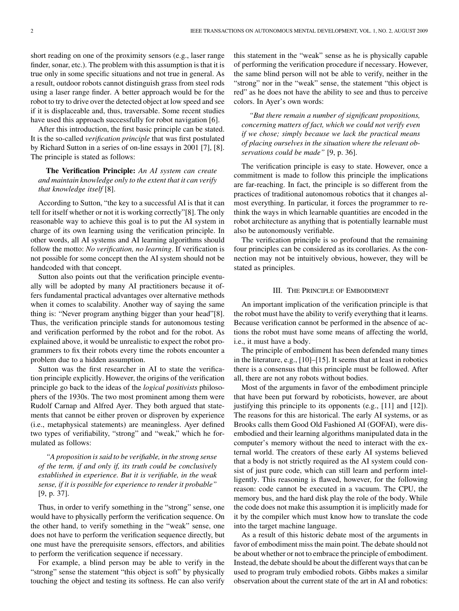short reading on one of the proximity sensors (e.g., laser range finder, sonar, etc.). The problem with this assumption is that it is true only in some specific situations and not true in general. As a result, outdoor robots cannot distinguish grass from steel rods using a laser range finder. A better approach would be for the robot to try to drive over the detected object at low speed and see if it is displaceable and, thus, traversable. Some recent studies have used this approach successfully for robot navigation [\[6\]](#page-7-0).

After this introduction, the first basic principle can be stated. It is the so-called *verification principle* that was first postulated by Richard Sutton in a series of on-line essays in 2001 [\[7\]](#page-7-0), [\[8\]](#page-7-0). The principle is stated as follows:

# **The Verification Principle:** *An AI system can create and maintain knowledge only to the extent that it can verify that knowledge itself* [\[8\]](#page-7-0).

According to Sutton, "the key to a successful AI is that it can tell for itself whether or not it is working correctly"[\[8\]](#page-7-0). The only reasonable way to achieve this goal is to put the AI system in charge of its own learning using the verification principle. In other words, all AI systems and AI learning algorithms should follow the motto: *No verification, no learning*. If verification is not possible for some concept then the AI system should not be handcoded with that concept.

Sutton also points out that the verification principle eventually will be adopted by many AI practitioners because it offers fundamental practical advantages over alternative methods when it comes to scalability. Another way of saying the same thing is: "Never program anything bigger than your head"[\[8\]](#page-7-0). Thus, the verification principle stands for autonomous testing and verification performed by the robot and for the robot. As explained above, it would be unrealistic to expect the robot programmers to fix their robots every time the robots encounter a problem due to a hidden assumption.

Sutton was the first researcher in AI to state the verification principle explicitly. However, the origins of the verification principle go back to the ideas of the *logical positivists* philosophers of the 1930s. The two most prominent among them were Rudolf Carnap and Alfred Ayer. They both argued that statements that cannot be either proven or disproven by experience (i.e., metaphysical statements) are meaningless. Ayer defined two types of verifiability, "strong" and "weak," which he formulated as follows:

*"A proposition is said to be verifiable, in the strong sense of the term, if and only if, its truth could be conclusively established in experience. But it is verifiable, in the weak sense, if it is possible for experience to render it probable"* [\[9, p. 37\]](#page-7-0).

Thus, in order to verify something in the "strong" sense, one would have to physically perform the verification sequence. On the other hand, to verify something in the "weak" sense, one does not have to perform the verification sequence directly, but one must have the prerequisite sensors, effectors, and abilities to perform the verification sequence if necessary.

For example, a blind person may be able to verify in the "strong" sense the statement "this object is soft" by physically touching the object and testing its softness. He can also verify this statement in the "weak" sense as he is physically capable of performing the verification procedure if necessary. However, the same blind person will not be able to verify, neither in the "strong" nor in the "weak" sense, the statement "this object is red" as he does not have the ability to see and thus to perceive colors. In Ayer's own words:

*"But there remain a number of significant propositions, concerning matters of fact, which we could not verify even if we chose; simply because we lack the practical means of placing ourselves in the situation where the relevant observations could be made"* [\[9, p. 36\].](#page-7-0)

The verification principle is easy to state. However, once a commitment is made to follow this principle the implications are far-reaching. In fact, the principle is so different from the practices of traditional autonomous robotics that it changes almost everything. In particular, it forces the programmer to rethink the ways in which learnable quantities are encoded in the robot architecture as anything that is potentially learnable must also be autonomously verifiable.

The verification principle is so profound that the remaining four principles can be considered as its corollaries. As the connection may not be intuitively obvious, however, they will be stated as principles.

#### III. THE PRINCIPLE OF EMBODIMENT

An important implication of the verification principle is that the robot must have the ability to verify everything that it learns. Because verification cannot be performed in the absence of actions the robot must have some means of affecting the world, i.e., it must have a body.

The principle of embodiment has been defended many times in the literature, e.g., [\[10\]–\[15\].](#page-8-0) It seems that at least in robotics there is a consensus that this principle must be followed. After all, there are not any robots without bodies.

Most of the arguments in favor of the embodiment principle that have been put forward by roboticists, however, are about justifying this principle to its opponents (e.g., [\[11\]](#page-8-0) and [\[12\]\)](#page-8-0). The reasons for this are historical. The early AI systems, or as Brooks calls them Good Old Fashioned AI (GOFAI), were disembodied and their learning algorithms manipulated data in the computer's memory without the need to interact with the external world. The creators of these early AI systems believed that a body is not strictly required as the AI system could consist of just pure code, which can still learn and perform intelligently. This reasoning is flawed, however, for the following reason: code cannot be executed in a vacuum. The CPU, the memory bus, and the hard disk play the role of the body. While the code does not make this assumption it is implicitly made for it by the compiler which must know how to translate the code into the target machine language.

As a result of this historic debate most of the arguments in favor of embodiment miss the main point. The debate should not be about whether or not to embrace the principle of embodiment. Instead, the debate should be about the different ways that can be used to program truly embodied robots. Gibbs makes a similar observation about the current state of the art in AI and robotics: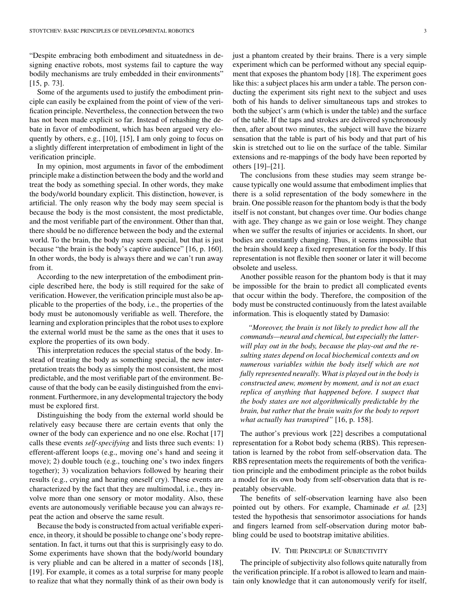"Despite embracing both embodiment and situatedness in designing enactive robots, most systems fail to capture the way bodily mechanisms are truly embedded in their environments" [\[15, p. 73\].](#page-8-0)

Some of the arguments used to justify the embodiment principle can easily be explained from the point of view of the verification principle. Nevertheless, the connection between the two has not been made explicit so far. Instead of rehashing the debate in favor of embodiment, which has been argued very eloquently by others, e.g., [\[10\], \[15\],](#page-8-0) I am only going to focus on a slightly different interpretation of embodiment in light of the verification principle.

In my opinion, most arguments in favor of the embodiment principle make a distinction between the body and the world and treat the body as something special. In other words, they make the body/world boundary explicit. This distinction, however, is artificial. The only reason why the body may seem special is because the body is the most consistent, the most predictable, and the most verifiable part of the environment. Other than that, there should be no difference between the body and the external world. To the brain, the body may seem special, but that is just because "the brain is the body's captive audience" [\[16, p. 160\].](#page-8-0) In other words, the body is always there and we can't run away from it.

According to the new interpretation of the embodiment principle described here, the body is still required for the sake of verification. However, the verification principle must also be applicable to the properties of the body, i.e., the properties of the body must be autonomously verifiable as well. Therefore, the learning and exploration principles that the robot uses to explore the external world must be the same as the ones that it uses to explore the properties of its own body.

This interpretation reduces the special status of the body. Instead of treating the body as something special, the new interpretation treats the body as simply the most consistent, the most predictable, and the most verifiable part of the environment. Because of that the body can be easily distinguished from the environment. Furthermore, in any developmental trajectory the body must be explored first.

Distinguishing the body from the external world should be relatively easy because there are certain events that only the owner of the body can experience and no one else. Rochat [\[17\]](#page-8-0) calls these events *self-specifying* and lists three such events: 1) efferent-afferent loops (e.g., moving one's hand and seeing it move); 2) double touch (e.g., touching one's two index fingers together); 3) vocalization behaviors followed by hearing their results (e.g., crying and hearing oneself cry). These events are characterized by the fact that they are multimodal, i.e., they involve more than one sensory or motor modality. Also, these events are autonomously verifiable because you can always repeat the action and observe the same result.

Because the body is constructed from actual verifiable experience, in theory, it should be possible to change one's body representation. In fact, it turns out that this is surprisingly easy to do. Some experiments have shown that the body/world boundary is very pliable and can be altered in a matter of seconds [\[18\],](#page-8-0) [\[19\].](#page-8-0) For example, it comes as a total surprise for many people to realize that what they normally think of as their own body is just a phantom created by their brains. There is a very simple experiment which can be performed without any special equipment that exposes the phantom body [\[18\]](#page-8-0). The experiment goes like this: a subject places his arm under a table. The person conducting the experiment sits right next to the subject and uses both of his hands to deliver simultaneous taps and strokes to both the subject's arm (which is under the table) and the surface of the table. If the taps and strokes are delivered synchronously then, after about two minutes, the subject will have the bizarre sensation that the table is part of his body and that part of his skin is stretched out to lie on the surface of the table. Similar extensions and re-mappings of the body have been reported by others [\[19\]–\[21\].](#page-8-0)

The conclusions from these studies may seem strange because typically one would assume that embodiment implies that there is a solid representation of the body somewhere in the brain. One possible reason for the phantom body is that the body itself is not constant, but changes over time. Our bodies change with age. They change as we gain or lose weight. They change when we suffer the results of injuries or accidents. In short, our bodies are constantly changing. Thus, it seems impossible that the brain should keep a fixed representation for the body. If this representation is not flexible then sooner or later it will become obsolete and useless.

Another possible reason for the phantom body is that it may be impossible for the brain to predict all complicated events that occur within the body. Therefore, the composition of the body must be constructed continuously from the latest available information. This is eloquently stated by Damasio:

*"Moreover, the brain is not likely to predict how all the commands—neural and chemical, but especially the latterwill play out in the body, because the play-out and the resulting states depend on local biochemical contexts and on numerous variables within the body itself which are not fully represented neurally. What is played out in the body is constructed anew, moment by moment, and is not an exact replica of anything that happened before. I suspect that the body states are not algorithmically predictable by the brain, but rather that the brain waits for the body to report what actually has transpired"* [\[16, p. 158\]](#page-8-0).

The author's previous work [\[22\]](#page-8-0) describes a computational representation for a Robot body schema (RBS). This representation is learned by the robot from self-observation data. The RBS representation meets the requirements of both the verification principle and the embodiment principle as the robot builds a model for its own body from self-observation data that is repeatably observable.

The benefits of self-observation learning have also been pointed out by others. For example, Chaminade *et al.* [\[23\]](#page-8-0) tested the hypothesis that sensorimotor associations for hands and fingers learned from self-observation during motor babbling could be used to bootstrap imitative abilities.

## IV. THE PRINCIPLE OF SUBJECTIVITY

The principle of subjectivity also follows quite naturally from the verification principle. If a robot is allowed to learn and maintain only knowledge that it can autonomously verify for itself,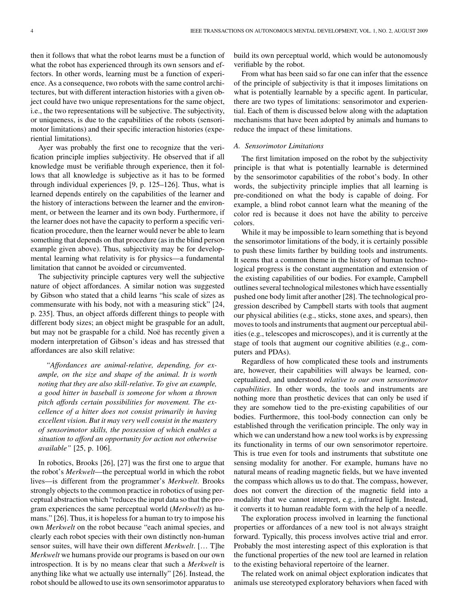then it follows that what the robot learns must be a function of what the robot has experienced through its own sensors and effectors. In other words, learning must be a function of experience. As a consequence, two robots with the same control architectures, but with different interaction histories with a given object could have two unique representations for the same object, i.e., the two representations will be subjective. The subjectivity, or uniqueness, is due to the capabilities of the robots (sensorimotor limitations) and their specific interaction histories (experiential limitations).

Ayer was probably the first one to recognize that the verification principle implies subjectivity. He observed that if all knowledge must be verifiable through experience, then it follows that all knowledge is subjective as it has to be formed through individual experiences [\[9, p. 125–126\]](#page-7-0). Thus, what is learned depends entirely on the capabilities of the learner and the history of interactions between the learner and the environment, or between the learner and its own body. Furthermore, if the learner does not have the capacity to perform a specific verification procedure, then the learner would never be able to learn something that depends on that procedure (as in the blind person example given above). Thus, subjectivity may be for developmental learning what relativity is for physics—a fundamental limitation that cannot be avoided or circumvented.

The subjectivity principle captures very well the subjective nature of object affordances. A similar notion was suggested by Gibson who stated that a child learns "his scale of sizes as commensurate with his body, not with a measuring stick" [\[24](#page-8-0), p. 235[\]](#page-8-0). Thus, an object affords different things to people with different body sizes; an object might be graspable for an adult, but may not be graspable for a child. Noë has recently given a modern interpretation of Gibson's ideas and has stressed that affordances are also skill relative:

*"Affordances are animal-relative, depending, for example, on the size and shape of the animal. It is worth noting that they are also skill-relative. To give an example, a good hitter in baseball is someone for whom a thrown pitch affords certain possibilities for movement. The excellence of a hitter does not consist primarily in having excellent vision. But it may very well consist in the mastery of sensorimotor skills, the possession of which enables a situation to afford an opportunity for action not otherwise available"* [\[25, p. 106\]](#page-8-0).

In robotics, Brooks [\[26\]](#page-8-0), [\[27\]](#page-8-0) was the first one to argue that the robot's *Merkwelt*—the perceptual world in which the robot lives—is different from the programmer's *Merkwelt*. Brooks strongly objects to the common practice in robotics of using perceptual abstraction which "reduces the input data so that the program experiences the same perceptual world (*Merkwelt*) as humans." [\[26\]](#page-8-0). Thus, it is hopeless for a human to try to impose his own *Merkwelt* on the robot because "each animal species, and clearly each robot species with their own distinctly non-human sensor suites, will have their own different *Merkwelt*. [… T]he *Merkwelt* we humans provide our programs is based on our own introspection. It is by no means clear that such a *Merkwelt* is anything like what we actually use internally" [\[26\]](#page-8-0). Instead, the robot should be allowed to use its own sensorimotor apparatus to build its own perceptual world, which would be autonomously verifiable by the robot.

From what has been said so far one can infer that the essence of the principle of subjectivity is that it imposes limitations on what is potentially learnable by a specific agent. In particular, there are two types of limitations: sensorimotor and experiential. Each of them is discussed below along with the adaptation mechanisms that have been adopted by animals and humans to reduce the impact of these limitations.

## *A. Sensorimotor Limitations*

The first limitation imposed on the robot by the subjectivity principle is that what is potentially learnable is determined by the sensorimotor capabilities of the robot's body. In other words, the subjectivity principle implies that all learning is pre-conditioned on what the body is capable of doing. For example, a blind robot cannot learn what the meaning of the color red is because it does not have the ability to perceive colors.

While it may be impossible to learn something that is beyond the sensorimotor limitations of the body, it is certainly possible to push these limits farther by building tools and instruments. It seems that a common theme in the history of human technological progress is the constant augmentation and extension of the existing capabilities of our bodies. For example, Campbell outlines several technological milestones which have essentially pushed one body limit after another [\[28\].](#page-8-0) The technological pro[gression descri](#page-8-0)bed by Campbell starts with tools that augment our physical abilities (e.g., sticks, stone axes, and spears), then moves to tools and instruments that augment our perceptual abilities (e.g., telescopes and microscopes), and it is currently at the stage of tools that augment our cognitive abilities (e.g., computers and PDAs).

Regardless of how complicated these tools and instruments are, however, their capabilities will always be learned, conceptualized, and understood *relative to our own sensorimotor capabilities*. In other words, the tools and instruments are nothing more than prosthetic devices that can only be used if they are somehow tied to the pre-existing capabilities of our bodies. Furthermore, this tool-body connection can only be established through the verification principle. The only way in which we can understand how a new tool works is by expressing its functionality in terms of our own sensorimotor repertoire. This is true even for tools and instruments that substitute one sensing modality for another. For example, humans have no natural means of reading magnetic fields, but we have invented the compass which allows us to do that. The compass, however, does not convert the direction of the magnetic field into a modality that we cannot interpret, e.g., infrared light. Instead, it converts it to human readable form with the help of a needle.

The exploration process involved in learning the functional properties or affordances of a new tool is not always straight forward. Typically, this process involves active trial and error. Probably the most interesting aspect of this exploration is that the functional properties of the new tool are learned in relation to the existing behavioral repertoire of the learner.

The related work on animal object exploration indicates that animals use stereotyped exploratory behaviors when faced with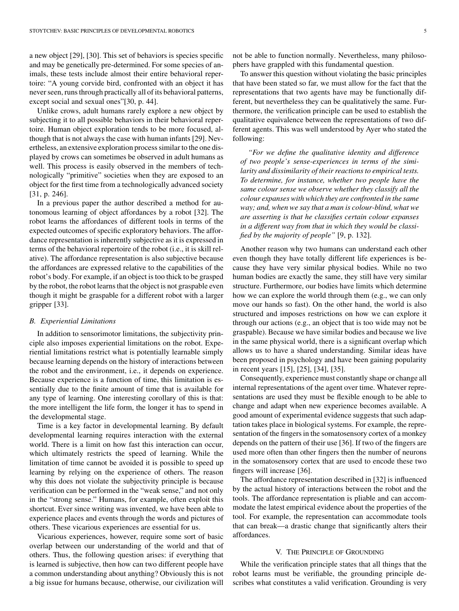a new object [\[29\]](#page-8-0), [\[30\]](#page-8-0). This set of behaviors is species specific and may be genetically pre-determined. For some species of animals, these tests include almost their entire behavioral repertoire: "A young corvide bird, confronted with an object it has never seen, runs through practically all of its behavioral patterns, except social and sexual ones["\[30, p. 44\]](#page-8-0).

Unlike crows, adult humans rarely explore a new object by subjecting it to all possible behaviors in their behavioral repertoire. Human object exploration tends to be more focused, although that is not always the case with human infants [\[29\]](#page-8-0). Nevertheless, an extensive exploration process similar to the one displayed by crows can sometimes be observed in adult humans as well. This process is easily observed in the members of technologically "primitive" societies when they are exposed to an object for the first time from a technologically advanced society [\[31, p. 246\].](#page-8-0)

In a previous paper the author described a method for autonomous learning of object affordances by a robot [\[32\].](#page-8-0) The robot learns the affordances of different tools in terms of the expected outcomes of specific exploratory behaviors. The affordance representation is inherently subjective as it is expressed in terms of the behavioral repertoire of the robot (i.e., it is skill relative). The affordance representation is also subjective because the affordances are expressed relative to the capabilities of the robot's body. For example, if an object is too thick to be grasped by the robot, the robot learns that the object is not graspable even though it might be graspable for a different robot with a larger gripper [\[33\]](#page-8-0).

#### *B. Experiential Limitations*

In addition to sensorimotor limitations, the subjectivity principle also imposes experiential limitations on the robot. Experiential limitations restrict what is potentially learnable simply because learning depends on the history of interactions between the robot and the environment, i.e., it depends on experience. Because experience is a function of time, this limitation is essentially due to the finite amount of time that is available for any type of learning. One interesting corollary of this is that: the more intelligent the life form, the longer it has to spend in the developmental stage.

Time is a key factor in developmental learning. By default developmental learning requires interaction with the external world. There is a limit on how fast this interaction can occur, which ultimately restricts the speed of learning. While the limitation of time cannot be avoided it is possible to speed up learning by relying on the experience of others. The reason why this does not violate the subjectivity principle is because verification can be performed in the "weak sense," and not only in the "strong sense." Humans, for example, often exploit this shortcut. Ever since writing was invented, we have been able to experience places and events through the words and pictures of others. These vicarious experiences are essential for us.

Vicarious experiences, however, require some sort of basic overlap between our understanding of the world and that of others. Thus, the following question arises: if everything that is learned is subjective, then how can two different people have a common understanding about anything? Obviously this is not a big issue for humans because, otherwise, our civilization will

not be able to function normally. Nevertheless, many philosophers have grappled with this fundamental question.

To answer this question without violating the basic principles that have been stated so far, we must allow for the fact that the representations that two agents have may be functionally different, but nevertheless they can be qualitatively the same. Furthermore, the verification principle can be used to establish the qualitative equivalence between the representations of two different agents. This was well understood by Ayer who stated the following:

*"For we define the qualitative identity and difference of two people's sense-experiences in terms of the similarity and dissimilarity of their reactions to empirical tests. To determine, for instance, whether two people have the same colour sense we observe whether they classify all the colour expanses with which they are confronted in the same way; and, when we say that a man is colour-blind, what we are asserting is that he classifies certain colour expanses in a different way from that in which they would be classified by the majority of people"* [\[9, p. 132\]](#page-7-0).

Another reason why two humans can understand each other even though they have totally different life experiences is because they have very similar physical bodies. While no two human bodies are exactly the same, they still have very similar structure. Furthermore, our bodies have limits which determine how we can explore the world through them (e.g., we can only move our hands so fast). On the other hand, the world is also structured and imposes restrictions on how we can explore it through our actions (e.g., an object that is too wide may not be graspable). Because we have similar bodies and because we live in the same physical world, there is a significant overlap which allows us to have a shared understanding. Similar ideas have been proposed in psychology and have been gaining popularity in recent years [\[15\]](#page-8-0), [\[25\], \[34\], \[35\].](#page-8-0)

Consequently, experience must constantly shape or change all internal representations of the agent over time. Whatever representations are used they must be flexible enough to be able to change and adapt when new experience becomes available. A good amount of experimental evidence suggests that such adaptation takes place in biological systems. For example, the representation of the fingers in the somatosensory cortex of a monkey depends on the pattern of their use [\[36\]](#page-8-0). If two of the fingers are used more often than other fingers then the number of neurons in the somatosensory cortex that are used to encode these two fingers will increase [\[36\].](#page-8-0)

The affordance representation described in [\[32\]](#page-8-0) is influenced by the actual history of interactions between the robot and the tools. The affordance representation is pliable and can accommodate the latest empirical evidence about the properties of the tool. For example, the representation can accommodate tools that can break—a drastic change that significantly alters their affordances.

## V. THE PRINCIPLE OF GROUNDING

While the verification principle states that all things that the robot learns must be verifiable, the grounding principle describes what constitutes a valid verification. Grounding is very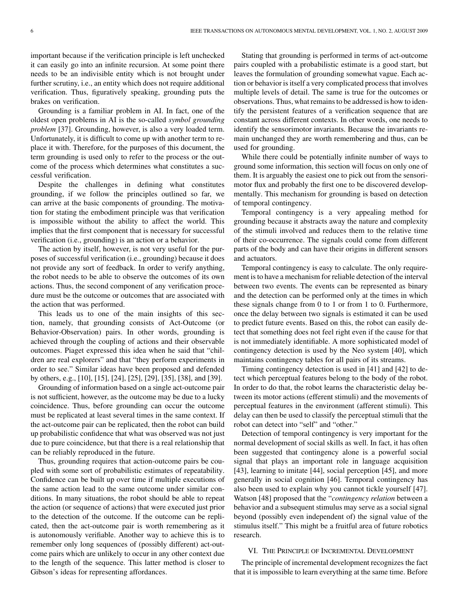important because if the verification principle is left unchecked it can easily go into an infinite recursion. At some point there needs to be an indivisible entity which is not brought under further scrutiny, i.e., an entity which does not require additional verification. Thus, figuratively speaking, grounding puts the brakes on verification.

Grounding is a familiar problem in AI. In fact, one of the oldest open problems in AI is the so-called *symbol grounding problem* [\[37\].](#page-8-0) Grounding, however, is also a very loaded term. Unfortunately, it is difficult to come up with another term to replace it with. Therefore, for the purposes of this document, the term grounding is used only to refer to the process or the outcome of the process which determines what constitutes a successful verification.

Despite the challenges in defining what constitutes grounding, if we follow the principles outlined so far, we can arrive at the basic components of grounding. The motivation for stating the embodiment principle was that verification is impossible without the ability to affect the world. This implies that the first component that is necessary for successful verification (i.e., grounding) is an action or a behavior.

The action by itself, however, is not very useful for the purposes of successful verification (i.e., grounding) because it does not provide any sort of feedback. In order to verify anything, the robot needs to be able to observe the outcomes of its own actions. Thus, the second component of any verification procedure must be the outcome or outcomes that are associated with the action that was performed.

This leads us to one of the main insights of this section, namely, that grounding consists of Act-Outcome (or Behavior-Observation) pairs. In other words, grounding is achieved through the coupling of actions and their observable outcomes. Piaget expressed this idea when he said that "children are real explorers" and that "they perform experiments in order to see." Similar ideas have been proposed and defended by others, e.g., [\[10\]](#page-8-0), [\[15\], \[24\], \[25\]](#page-8-0), [\[29\], \[35\]](#page-8-0), [\[38\],](#page-8-0) and [\[39\]](#page-8-0).

Grounding of information based on a single act-outcome pair is not sufficient, however, as the outcome may be due to a lucky coincidence. Thus, before grounding can occur the outcome must be replicated at least several times in the same context. If the act-outcome pair can be replicated, then the robot can build up probabilistic confidence that what was observed was not just due to pure coincidence, but that there is a real relationship that can be reliably reproduced in the future.

Thus, grounding requires that action-outcome pairs be coupled with some sort of probabilistic estimates of repeatability. Confidence can be built up over time if multiple executions of the same action lead to the same outcome under similar conditions. In many situations, the robot should be able to repeat the action (or sequence of actions) that were executed just prior to the detection of the outcome. If the outcome can be replicated, then the act-outcome pair is worth remembering as it is autonomously verifiable. Another way to achieve this is to remember only long sequences of (possibly different) act-outcome pairs which are unlikely to occur in any other context due to the length of the sequence. This latter method is closer to Gibson's ideas for representing affordances.

Stating that grounding is performed in terms of act-outcome pairs coupled with a probabilistic estimate is a good start, but leaves the formulation of grounding somewhat vague. Each action or behavior is itself a very complicated process that involves multiple levels of detail. The same is true for the outcomes or observations. Thus, what remains to be addressed is how to identify the persistent features of a verification sequence that are constant across different contexts. In other words, one needs to identify the sensorimotor invariants. Because the invariants remain unchanged they are worth remembering and thus, can be used for grounding.

While there could be potentially infinite number of ways to ground some information, this section will focus on only one of them. It is arguably the easiest one to pick out from the sensorimotor flux and probably the first one to be discovered developmentally. This mechanism for grounding is based on detection of temporal contingency.

Temporal contingency is a very appealing method for grounding because it abstracts away the nature and complexity of the stimuli involved and reduces them to the relative time of their co-occurrence. The signals could come from different parts of the body and can have their origins in different sensors and actuators.

Temporal contingency is easy to calculate. The only requirement is to have a mechanism for reliable detection of the interval between two events. The events can be represented as binary and the detection can be performed only at the times in which these signals change from 0 to 1 or from 1 to 0. Furthermore, once the delay between two signals is estimated it can be used to predict future events. Based on this, the robot can easily detect that something does not feel right even if the cause for that is not immediately identifiable. A more sophisticated model of contingency detection is used by the Neo system [\[40\]](#page-8-0), which maintains contingency tables for all pairs of its streams.

Timing contingency detection is used in [\[41\]](#page-8-0) and [\[42\]](#page-8-0) to detect which perceptual features belong to the body of the robot. In order to do that, the robot learns the characteristic delay between its motor actions (efferent stimuli) and the movements of perceptual features in the environment (afferent stimuli). This delay can then be used to classify the perceptual stimuli that the robot can detect into "self" and "other."

Detection of temporal contingency is very important for the normal development of social skills as well. In fact, it has often been suggested that contingency alone is a powerful social signal that plays an important role in language acquisition [\[43\]](#page-8-0), learning to imitate [\[44\],](#page-8-0) social perception [\[45\],](#page-8-0) and more generally in social cognition [\[46\]](#page-8-0). Temporal contingency has also been used to explain why you cannot tickle yourself [\[47\]](#page-8-0). Watson [\[48\]](#page-8-0) proposed that the "*contingency relation* between a behavior and a subsequent stimulus may serve as a social signal beyond (possibly even independent of) the signal value of the stimulus itself." This might be a fruitful area of future robotics research.

## VI. THE PRINCIPLE OF INCREMENTAL DEVELOPMENT

The principle of incremental development recognizes the fact that it is impossible to learn everything at the same time. Before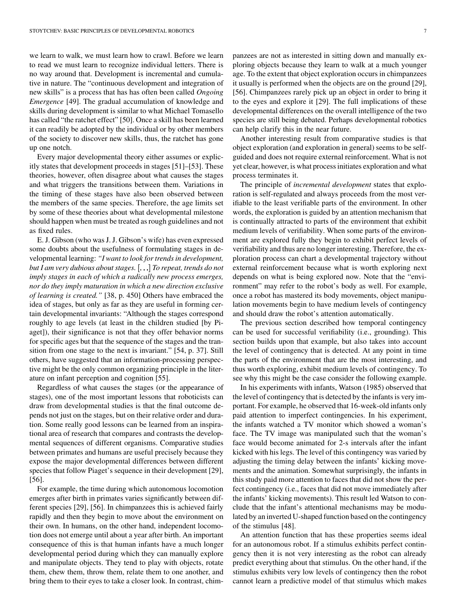we learn to walk, we must learn how to crawl. Before we learn to read we must learn to recognize individual letters. There is no way around that. Development is incremental and cumulative in nature. The "continuous development and integration of new skills" is a process that has has often been called *Ongoing Emergence* [\[49\]](#page-8-0). The gradual accumulation of knowledge and skills during development is similar to what Michael Tomasello has called "the ratchet effect" [\[50\].](#page-8-0) Once a skill has been learned it can readily be adopted by the individual or by other members of the society to discover new skills, thus, the ratchet has gone up one notch.

Every major developmental theory either assumes or explicitly states that development proceeds in stages [\[51\]–\[53\].](#page-8-0) These theories, however, often disagree about what causes the stages and what triggers the transitions between them. Variations in the timing of these stages have also been observed between the members of the same species. Therefore, the age limits set by some of these theories about what developmental milestone should happen when must be treated as rough guidelines and not as fixed rules.

E. J. Gibson (who was J. J. Gibson's wife) has even expressed some doubts about the usefulness of formulating stages in developmental learning: *"I want to look for trends in development, but I am very dubious about stages. To repeat, trends do not imply stages in each of which a radically new process emerges, nor do they imply maturation in which a new direction exclusive of learning is created."* [\[38, p. 450\]](#page-8-0) Others have embraced the idea of stages, but only as far as they are useful in forming certain developmental invariants: "Although the stages correspond roughly to age levels (at least in the children studied [by Piaget]), their significance is not that they offer behavior norms for specific ages but that the sequence of the stages and the transition from one stage to the next is invariant." [\[54, p. 37\]](#page-8-0). Still others, have suggested that an information-processing perspective might be the only common organizing principle in the literature on infant perception and cognition [\[55\].](#page-8-0)

Regardless of what causes the stages (or the appearance of stages), one of the most important lessons that roboticists can draw from developmental studies is that the final outcome depends not just on the stages, but on their relative order and duration. Some really good lessons can be learned from an inspirational area of research that compares and contrasts the developmental sequences of different organisms. Comparative studies between primates and humans are useful precisely because they expose the major developmental differences between different species that follow Piaget's sequence in their development [\[29\],](#page-8-0) [\[56\].](#page-8-0)

For example, the time during which autonomous locomotion emerges after birth in primates varies significantly between different species [\[29\], \[56\].](#page-8-0) In chimpanzees this is achieved fairly rapidly and then they begin to move about the environment on their own. In humans, on the other hand, independent locomotion does not emerge until about a year after birth. An important consequence of this is that human infants have a much longer developmental period during which they can manually explore and manipulate objects. They tend to play with objects, rotate them, chew them, throw them, relate them to one another, and bring them to their eyes to take a closer look. In contrast, chimpanzees are not as interested in sitting down and manually exploring objects because they learn to walk at a much younger age. To the extent that object exploration occurs in chimpanzees it usually is performed when the objects are on the ground [\[29\],](#page-8-0) [\[56\].](#page-8-0) Chimpanzees rarely pick up an object in order to bring it to the eyes and explore it [\[29\]](#page-8-0). The full implications of these developmental differences on the overall intelligence of the two species are still being debated. Perhaps developmental robotics can help clarify this in the near future.

Another interesting result from comparative studies is that object exploration (and exploration in general) seems to be selfguided and does not require external reinforcement. What is not yet clear, however, is what process initiates exploration and what process terminates it.

The principle of *incremental development* states that exploration is self-regulated and always proceeds from the most verifiable to the least verifiable parts of the environment. In other words, the exploration is guided by an attention mechanism that is continually attracted to parts of the environment that exhibit medium levels of verifiability. When some parts of the environment are explored fully they begin to exhibit perfect levels of verifiability and thus are no longer interesting. Therefore, the exploration process can chart a developmental trajectory without external reinforcement because what is worth exploring next depends on what is being explored now. Note that the "environment" may refer to the robot's body as well. For example, once a robot has mastered its body movements, object manipulation movements begin to have medium levels of contingency and should draw the robot's attention automatically.

The previous section described how temporal contingency can be used for successful verifiability (i.e., grounding). This section builds upon that example, but also takes into account the level of contingency that is detected. At any point in time the parts of the environment that are the most interesting, and thus worth exploring, exhibit medium levels of contingency. To see why this might be the case consider the following example.

In his experiments with infants, Watson (1985) observed that the level of contingency that is detected by the infants is very important. For example, he observed that 16-week-old infants only paid attention to imperfect contingencies. In his experiment, the infants watched a TV monitor which showed a woman's face. The TV image was manipulated such that the woman's face would become animated for 2-s intervals after the infant kicked with his legs. The level of this contingency was varied by adjusting the timing delay between the infants' kicking movements and the animation. Somewhat surprisingly, the infants in this study paid more attention to faces that did not show the perfect contingency (i.e., faces that did not move immediately after the infants' kicking movements). This result led Watson to conclude that the infant's attentional mechanisms may be modulated by an inverted U-shaped function based on the contingency of the stimulus [\[48\].](#page-8-0)

An attention function that has these properties seems ideal for an autonomous robot. If a stimulus exhibits perfect contingency then it is not very interesting as the robot can already predict everything about that stimulus. On the other hand, if the stimulus exhibits very low levels of contingency then the robot cannot learn a predictive model of that stimulus which makes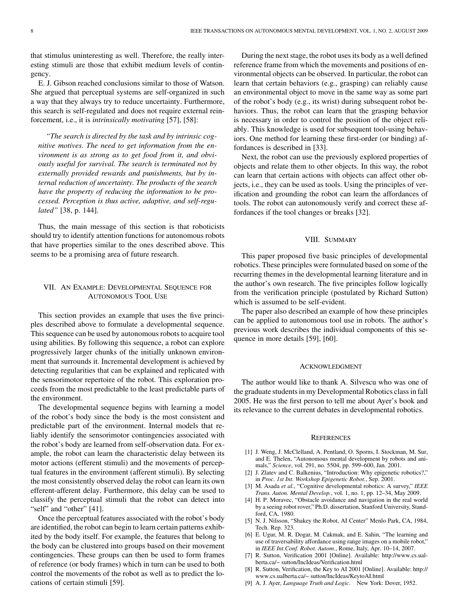<span id="page-7-0"></span>that stimulus uninteresting as well. Therefore, the really interesting stimuli are those that exhibit medium levels of contingency.

E. J. Gibson reached conclusions similar to those of Watson. She argued that perceptual systems are self-organized in such a way that they always try to reduce uncertainty. Furthermore, this search is self-regulated and does not require external reinforcement, i.e., it is *intrinsically motivating* [\[57\]](#page-8-0), [\[58\]:](#page-8-0)

*"The search is directed by the task and by intrinsic cognitive motives. The need to get information from the environment is as strong as to get food from it, and obviously useful for survival. The search is terminated not by externally provided rewards and punishments, but by internal reduction of uncertainty. The products of the search have the property of reducing the information to be processed. Perception is thus active, adaptive, and self-regulated"* [\[38, p. 144\]](#page-8-0).

Thus, the main message of this section is that roboticists should try to identify attention functions for autonomous robots that have properties similar to the ones described above. This seems to be a promising area of future research.

## VII. AN EXAMPLE: DEVELOPMENTAL SEQUENCE FOR AUTONOMOUS TOOL USE

This section provides an example that uses the five principles described above to formulate a developmental sequence. This sequence can be used by autonomous robots to acquire tool using abilities. By following this sequence, a robot can explore progressively larger chunks of the initially unknown environment that surrounds it. Incremental development is achieved by detecting regularities that can be explained and replicated with the sensorimotor repertoire of the robot. This exploration proceeds from the most predictable to the least predictable parts of the environment.

The developmental sequence begins with learning a model of the robot's body since the body is the most consistent and predictable part of the environment. Internal models that reliably identify the sensorimotor contingencies associated with the robot's body are learned from self-observation data. For example, the robot can learn the characteristic delay between its motor actions (efferent stimuli) and the movements of perceptual features in the environment (afferent stimuli). By selecting the most consistently observed delay the robot can learn its own efferent-afferent delay. Furthermore, this delay can be used to classify the perceptual stimuli that the robot can detect into "self" and "other" [\[41\].](#page-8-0)

Once the perceptual features associated with the robot's body are identified, the robot can begin to learn certain patterns exhibited by the body itself. For example, the features that belong to the body can be clustered into groups based on their movement contingencies. These groups can then be used to form frames of reference (or body frames) which in turn can be used to both control the movements of the robot as well as to predict the locations of certain stimuli [\[59\].](#page-8-0)

During the next stage, the robot uses its body as a well defined reference frame from which the movements and positions of environmental objects can be observed. In particular, the robot can learn that certain behaviors (e.g., grasping) can reliably cause an environmental object to move in the same way as some part of the robot's body (e.g., its wrist) during subsequent robot behaviors. Thus, the robot can learn that the grasping behavior is necessary in order to control the position of the object reliably. This knowledge is used for subsequent tool-using behaviors. One method for learning these first-order (or binding) affordances is described in [\[33\].](#page-8-0)

Next, the robot can use the previously explored properties of objects and relate them to other objects. In this way, the robot can learn that certain actions with objects can affect other objects, i.e., they can be used as tools. Using the principles of verification and grounding the robot can learn the affordances of tools. The robot can autonomously verify and correct these affordances if the tool changes or breaks [\[32\].](#page-8-0)

## VIII. SUMMARY

This paper proposed five basic principles of developmental robotics. These principles were formulated based on some of the recurring themes in the developmental learning literature and in the author's own research. The five principles follow logically from the verification principle (postulated by Richard Sutton) which is assumed to be self-evident.

The paper also described an example of how these principles can be applied to autonomous tool use in robots. The author's previous work describes the individual components of this sequence in more details [\[59\], \[60\].](#page-8-0)

#### ACKNOWLEDGMENT

The author would like to thank A. Silvescu who was one of the graduate students in my Developmental Robotics class in fall 2005. He was the first person to tell me about Ayer's book and its relevance to the current debates in developmental robotics.

#### **REFERENCES**

- [1] J. Weng, J. McClelland, A. Pentland, O. Sporns, I. Stockman, M. Sur, and E. Thelen, "Autonomous mental development by robots and animals," *Science*, vol. 291, no. 5504, pp. 599–600, Jan. 2001.
- [2] J. Zlatev and C. Balkenius, "Introduction: Why epigenetic robotics?," in *Proc. 1st Int. Workshop Epigenetic Robot.*, Sep. 2001.
- [3] M. Asada *et al.*, "Cognitive developmental robotics: A survey," *IEEE Trans. Auton. Mental Develop.*, vol. 1, no. 1, pp. 12–34, May 2009.
- [4] H. P. Moravec, "Obstacle avoidance and navigation in the real world by a seeing robot rover," Ph.D. dissertation, Stanford University, Standford, CA, 1980.
- [5] N. J. Nilsson, "Shakey the Robot, AI Center" Menlo Park, CA, 1984, Tech. Rep. 323.
- [6] E. Ugur, M. R. Dogar, M. Cakmak, and E. Sahin, "The learning and use of traversability affordance using range images on a mobile robot," in *IEEE Int.Conf. Robot. Autom.*, Rome, Italy, Apr. 10–14, 2007.
- [7] R. Sutton, Verification 2001 [Online]. Available: http://www.cs.ualberta.ca/~ sutton/IncIdeas/Verification.html
- [8] R. Sutton, Verification, the Key to AI 2001 [Online]. Available: http:// www.cs.ualberta.ca/~ sutton/IncIdeas/KeytoAI.html
- [9] A. J. Ayer*, Language Truth and Logic*. New York: Dover, 1952.